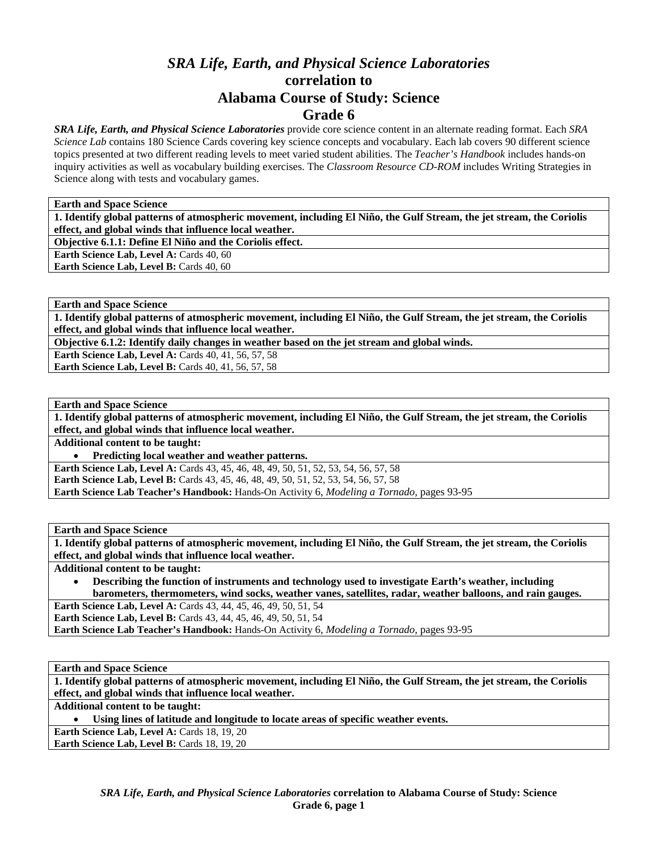# *SRA Life, Earth, and Physical Science Laboratories*  **correlation to Alabama Course of Study: Science Grade 6**

*SRA Life, Earth, and Physical Science Laboratories* provide core science content in an alternate reading format. Each *SRA Science Lab* contains 180 Science Cards covering key science concepts and vocabulary. Each lab covers 90 different science topics presented at two different reading levels to meet varied student abilities. The *Teacher's Handbook* includes hands-on inquiry activities as well as vocabulary building exercises. The *Classroom Resource CD-ROM* includes Writing Strategies in Science along with tests and vocabulary games.

**Earth and Space Science** 

**1. Identify global patterns of atmospheric movement, including El Niño, the Gulf Stream, the jet stream, the Coriolis effect, and global winds that influence local weather.** 

**Objective 6.1.1: Define El Niño and the Coriolis effect.** 

Earth Science Lab, Level A: Cards 40, 60

Earth Science Lab, Level B: Cards 40, 60

**Earth and Space Science** 

**1. Identify global patterns of atmospheric movement, including El Niño, the Gulf Stream, the jet stream, the Coriolis effect, and global winds that influence local weather.** 

**Objective 6.1.2: Identify daily changes in weather based on the jet stream and global winds.** 

**Earth Science Lab, Level A: Cards 40, 41, 56, 57, 58** Earth Science Lab, Level B: Cards 40, 41, 56, 57, 58

**Earth and Space Science** 

**1. Identify global patterns of atmospheric movement, including El Niño, the Gulf Stream, the jet stream, the Coriolis effect, and global winds that influence local weather.** 

**Additional content to be taught:** 

• **Predicting local weather and weather patterns.** 

**Earth Science Lab, Level A:** Cards 43, 45, 46, 48, 49, 50, 51, 52, 53, 54, 56, 57, 58 **Earth Science Lab, Level B:** Cards 43, 45, 46, 48, 49, 50, 51, 52, 53, 54, 56, 57, 58 **Earth Science Lab Teacher's Handbook:** Hands-On Activity 6, *Modeling a Tornado,* pages 93-95

**Earth and Space Science** 

**1. Identify global patterns of atmospheric movement, including El Niño, the Gulf Stream, the jet stream, the Coriolis effect, and global winds that influence local weather.** 

**Additional content to be taught:** 

• **Describing the function of instruments and technology used to investigate Earth's weather, including barometers, thermometers, wind socks, weather vanes, satellites, radar, weather balloons, and rain gauges. Earth Science Lab, Level A:** Cards 43, 44, 45, 46, 49, 50, 51, 54

**Earth Science Lab, Level B:** Cards 43, 44, 45, 46, 49, 50, 51, 54

**Earth Science Lab Teacher's Handbook:** Hands-On Activity 6, *Modeling a Tornado,* pages 93-95

**Earth and Space Science** 

**1. Identify global patterns of atmospheric movement, including El Niño, the Gulf Stream, the jet stream, the Coriolis effect, and global winds that influence local weather.** 

**Additional content to be taught:** 

• **Using lines of latitude and longitude to locate areas of specific weather events.** 

Earth Science Lab, Level A: Cards 18, 19, 20

Earth Science Lab, Level B: Cards 18, 19, 20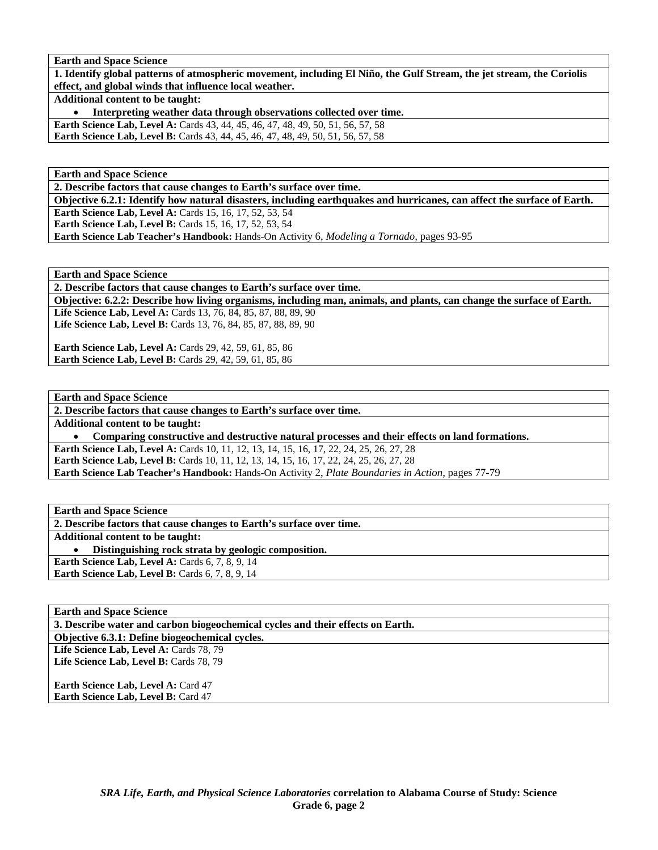**Earth and Space Science** 

**1. Identify global patterns of atmospheric movement, including El Niño, the Gulf Stream, the jet stream, the Coriolis effect, and global winds that influence local weather.** 

**Additional content to be taught:** 

• **Interpreting weather data through observations collected over time.** 

**Earth Science Lab, Level A: Cards 43, 44, 45, 46, 47, 48, 49, 50, 51, 56, 57, 58** 

**Earth Science Lab, Level B:** Cards 43, 44, 45, 46, 47, 48, 49, 50, 51, 56, 57, 58

**Earth and Space Science** 

**2. Describe factors that cause changes to Earth's surface over time.** 

**Objective 6.2.1: Identify how natural disasters, including earthquakes and hurricanes, can affect the surface of Earth. Earth Science Lab, Level A:** Cards 15, 16, 17, 52, 53, 54

**Earth Science Lab, Level B:** Cards 15, 16, 17, 52, 53, 54

**Earth Science Lab Teacher's Handbook:** Hands-On Activity 6, *Modeling a Tornado,* pages 93-95

**Earth and Space Science** 

**2. Describe factors that cause changes to Earth's surface over time.** 

**Objective: 6.2.2: Describe how living organisms, including man, animals, and plants, can change the surface of Earth. Life Science Lab, Level A:** Cards 13, 76, 84, 85, 87, 88, 89, 90

Life Science Lab, Level B: Cards 13, 76, 84, 85, 87, 88, 89, 90

**Earth Science Lab, Level A:** Cards 29, 42, 59, 61, 85, 86 **Earth Science Lab, Level B:** Cards 29, 42, 59, 61, 85, 86

**Earth and Space Science** 

**2. Describe factors that cause changes to Earth's surface over time.** 

**Additional content to be taught:** 

• **Comparing constructive and destructive natural processes and their effects on land formations.** 

**Earth Science Lab, Level A:** Cards 10, 11, 12, 13, 14, 15, 16, 17, 22, 24, 25, 26, 27, 28 Earth Science Lab, Level B: Cards 10, 11, 12, 13, 14, 15, 16, 17, 22, 24, 25, 26, 27, 28

**Earth Science Lab Teacher's Handbook:** Hands-On Activity 2, *Plate Boundaries in Action,* pages 77-79

**Earth and Space Science** 

**2. Describe factors that cause changes to Earth's surface over time.** 

**Additional content to be taught:** 

• **Distinguishing rock strata by geologic composition.** 

**Earth Science Lab, Level A: Cards 6, 7, 8, 9, 14 Earth Science Lab, Level B:** Cards 6, 7, 8, 9, 14

## **Earth and Space Science**

**3. Describe water and carbon biogeochemical cycles and their effects on Earth.** 

**Objective 6.3.1: Define biogeochemical cycles.** 

Life Science Lab, Level A: Cards 78, 79

Life Science Lab, Level B: Cards 78, 79

**Earth Science Lab, Level A: Card 47 Earth Science Lab, Level B: Card 47**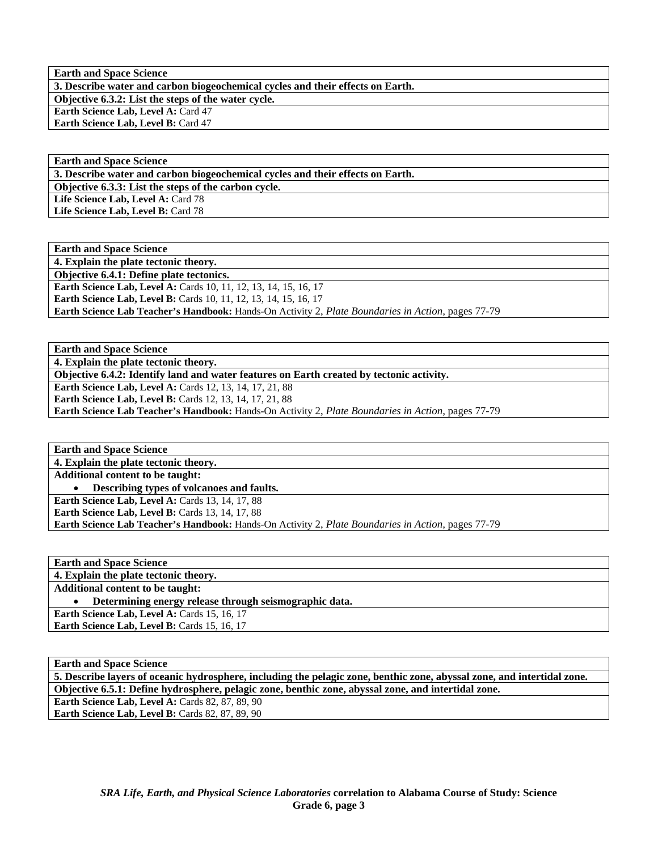**Earth and Space Science 3. Describe water and carbon biogeochemical cycles and their effects on Earth. Objective 6.3.2: List the steps of the water cycle. Earth Science Lab, Level A: Card 47 Earth Science Lab, Level B: Card 47** 

**Earth and Space Science 3. Describe water and carbon biogeochemical cycles and their effects on Earth. Objective 6.3.3: List the steps of the carbon cycle.**  Life Science Lab, Level A: Card 78 Life Science Lab, Level B: Card 78

**Earth and Space Science 4. Explain the plate tectonic theory. Objective 6.4.1: Define plate tectonics. Earth Science Lab, Level A: Cards 10, 11, 12, 13, 14, 15, 16, 17 Earth Science Lab, Level B:** Cards 10, 11, 12, 13, 14, 15, 16, 17 **Earth Science Lab Teacher's Handbook:** Hands-On Activity 2, *Plate Boundaries in Action,* pages 77-79

**Earth and Space Science** 

**4. Explain the plate tectonic theory.** 

**Objective 6.4.2: Identify land and water features on Earth created by tectonic activity.** 

**Earth Science Lab, Level A: Cards 12, 13, 14, 17, 21, 88** 

**Earth Science Lab, Level B:** Cards 12, 13, 14, 17, 21, 88

**Earth Science Lab Teacher's Handbook:** Hands-On Activity 2, *Plate Boundaries in Action,* pages 77-79

**Earth and Space Science 4. Explain the plate tectonic theory. Additional content to be taught:**  • **Describing types of volcanoes and faults. Earth Science Lab, Level A: Cards 13, 14, 17, 88 Earth Science Lab, Level B: Cards 13, 14, 17, 88 Earth Science Lab Teacher's Handbook:** Hands-On Activity 2, *Plate Boundaries in Action,* pages 77-79

| <b>Earth and Space Science</b>                         |
|--------------------------------------------------------|
| 4. Explain the plate tectonic theory.                  |
| <b>Additional content to be taught:</b>                |
| Determining energy release through seismographic data. |
| <b>Earth Science Lab, Level A: Cards 15, 16, 17</b>    |
| <b>Earth Science Lab, Level B:</b> Cards 15, 16, 17    |

**Earth and Space Science** 

**5. Describe layers of oceanic hydrosphere, including the pelagic zone, benthic zone, abyssal zone, and intertidal zone. Objective 6.5.1: Define hydrosphere, pelagic zone, benthic zone, abyssal zone, and intertidal zone. Earth Science Lab, Level A: Cards 82, 87, 89, 90 Earth Science Lab, Level B: Cards 82, 87, 89, 90**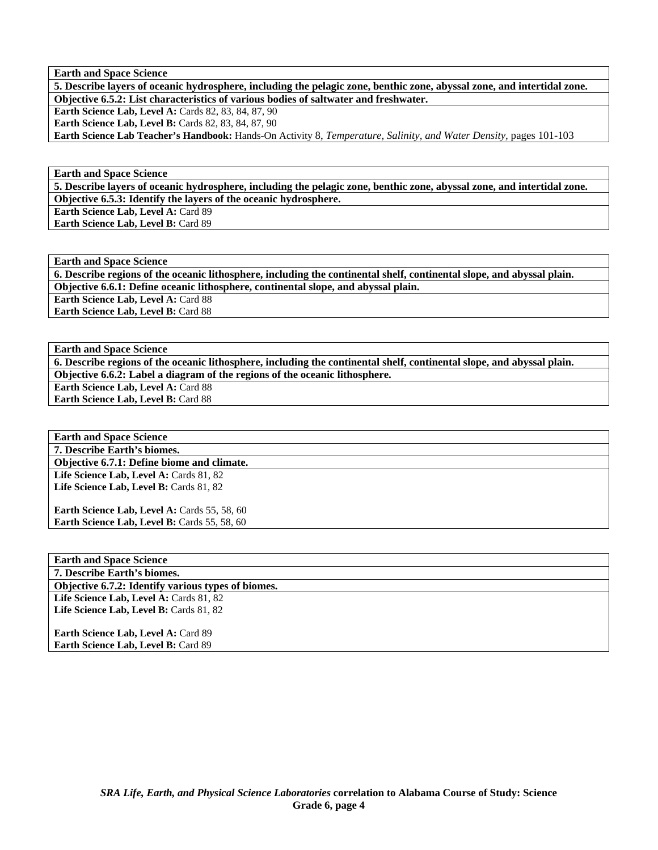**Earth and Space Science** 

**5. Describe layers of oceanic hydrosphere, including the pelagic zone, benthic zone, abyssal zone, and intertidal zone. Objective 6.5.2: List characteristics of various bodies of saltwater and freshwater.** 

**Earth Science Lab, Level A: Cards 82, 83, 84, 87, 90** 

**Earth Science Lab, Level B: Cards 82, 83, 84, 87, 90** 

**Earth Science Lab Teacher's Handbook:** Hands-On Activity 8, *Temperature, Salinity, and Water Density,* pages 101-103

**Earth and Space Science** 

**5. Describe layers of oceanic hydrosphere, including the pelagic zone, benthic zone, abyssal zone, and intertidal zone.** 

**Objective 6.5.3: Identify the layers of the oceanic hydrosphere.** 

**Earth Science Lab, Level A: Card 89 Earth Science Lab, Level B:** Card 89

**Earth and Space Science** 

**6. Describe regions of the oceanic lithosphere, including the continental shelf, continental slope, and abyssal plain. Objective 6.6.1: Define oceanic lithosphere, continental slope, and abyssal plain.** 

**Earth Science Lab, Level A: Card 88** 

**Earth Science Lab, Level B:** Card 88

**Earth and Space Science** 

**6. Describe regions of the oceanic lithosphere, including the continental shelf, continental slope, and abyssal plain. Objective 6.6.2: Label a diagram of the regions of the oceanic lithosphere.** 

**Earth Science Lab, Level A: Card 88** 

**Earth Science Lab, Level B:** Card 88

**Earth and Space Science 7. Describe Earth's biomes. Objective 6.7.1: Define biome and climate.**  Life Science Lab, Level A: Cards 81, 82 Life Science Lab, Level B: Cards 81, 82 **Earth Science Lab, Level A: Cards 55, 58, 60** Earth Science Lab, Level B: Cards 55, 58, 60

**Earth and Space Science 7. Describe Earth's biomes. Objective 6.7.2: Identify various types of biomes.**  Life Science Lab, Level A: Cards 81, 82 Life Science Lab, Level B: Cards 81, 82 **Earth Science Lab, Level A: Card 89** 

**Earth Science Lab, Level B:** Card 89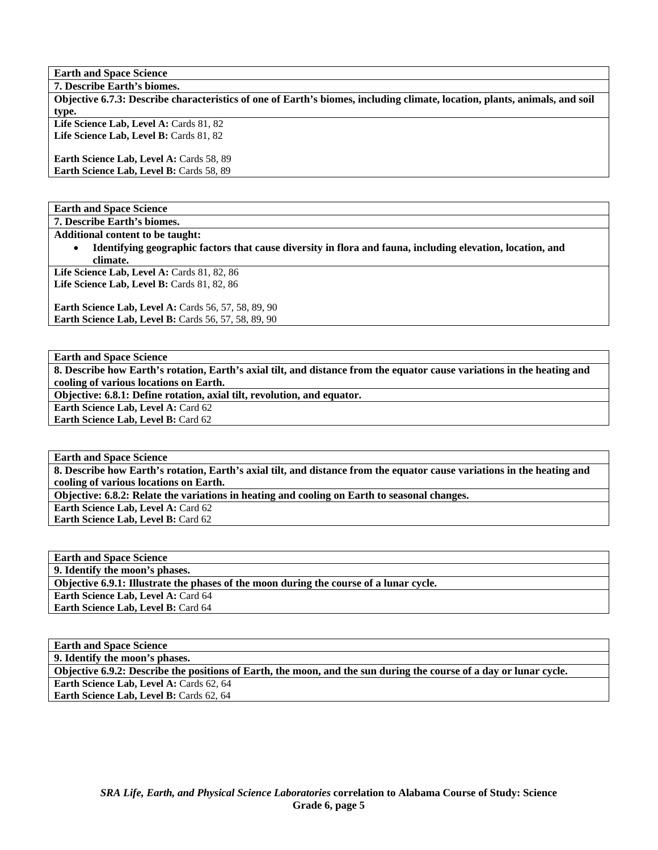**Earth and Space Science 7. Describe Earth's biomes. Objective 6.7.3: Describe characteristics of one of Earth's biomes, including climate, location, plants, animals, and soil type.**  Life Science Lab, Level A: Cards 81, 82 Life Science Lab, Level B: Cards 81, 82 **Earth Science Lab, Level A: Cards 58, 89** Earth Science Lab, Level B: Cards 58, 89

**Earth and Space Science** 

**7. Describe Earth's biomes.** 

**Additional content to be taught:** 

• **Identifying geographic factors that cause diversity in flora and fauna, including elevation, location, and climate.** 

Life Science Lab, Level A: Cards 81, 82, 86 Life Science Lab, Level B: Cards 81, 82, 86

**Earth Science Lab, Level A:** Cards 56, 57, 58, 89, 90 **Earth Science Lab, Level B: Cards 56, 57, 58, 89, 90** 

**Earth and Space Science** 

**8. Describe how Earth's rotation, Earth's axial tilt, and distance from the equator cause variations in the heating and cooling of various locations on Earth.** 

**Objective: 6.8.1: Define rotation, axial tilt, revolution, and equator.** 

**Earth Science Lab, Level A: Card 62** 

**Earth Science Lab, Level B: Card 62** 

**Earth and Space Science** 

**8. Describe how Earth's rotation, Earth's axial tilt, and distance from the equator cause variations in the heating and cooling of various locations on Earth.** 

**Objective: 6.8.2: Relate the variations in heating and cooling on Earth to seasonal changes.** 

**Earth Science Lab, Level A: Card 62** 

**Earth Science Lab, Level B:** Card 62

**Earth and Space Science 9. Identify the moon's phases. Objective 6.9.1: Illustrate the phases of the moon during the course of a lunar cycle. Earth Science Lab, Level A: Card 64 Earth Science Lab, Level B:** Card 64

**Earth and Space Science 9. Identify the moon's phases. Objective 6.9.2: Describe the positions of Earth, the moon, and the sun during the course of a day or lunar cycle. Earth Science Lab, Level A: Cards 62, 64** Earth Science Lab, Level B: Cards 62, 64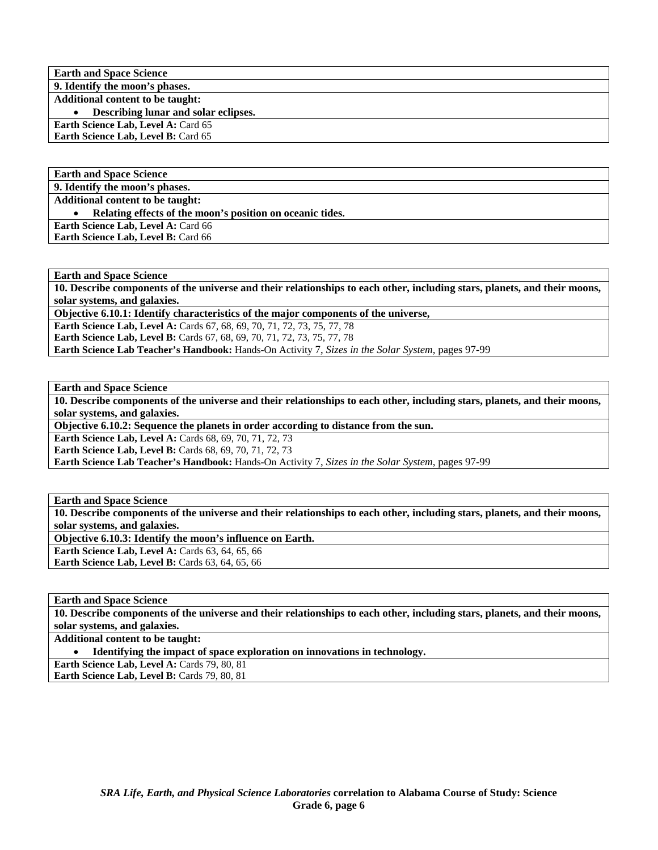**Earth and Space Science 9. Identify the moon's phases. Additional content to be taught:** 

• **Describing lunar and solar eclipses.** 

**Earth Science Lab, Level A: Card 65** 

**Earth Science Lab, Level B:** Card 65

**Earth and Space Science** 

**9. Identify the moon's phases.** 

**Additional content to be taught:** 

• **Relating effects of the moon's position on oceanic tides.** 

**Earth Science Lab, Level A: Card 66 Earth Science Lab, Level B:** Card 66

**Earth and Space Science** 

**10. Describe components of the universe and their relationships to each other, including stars, planets, and their moons, solar systems, and galaxies.** 

**Objective 6.10.1: Identify characteristics of the major components of the universe,** 

**Earth Science Lab, Level A: Cards 67, 68, 69, 70, 71, 72, 73, 75, 77, 78 Earth Science Lab, Level B:** Cards 67, 68, 69, 70, 71, 72, 73, 75, 77, 78 **Earth Science Lab Teacher's Handbook:** Hands-On Activity 7, *Sizes in the Solar System,* pages 97-99

**Earth and Space Science** 

**10. Describe components of the universe and their relationships to each other, including stars, planets, and their moons, solar systems, and galaxies.** 

**Objective 6.10.2: Sequence the planets in order according to distance from the sun.** 

**Earth Science Lab, Level A: Cards 68, 69, 70, 71, 72, 73** 

**Earth Science Lab, Level B:** Cards 68, 69, 70, 71, 72, 73

**Earth Science Lab Teacher's Handbook:** Hands-On Activity 7, *Sizes in the Solar System,* pages 97-99

**Earth and Space Science** 

**10. Describe components of the universe and their relationships to each other, including stars, planets, and their moons, solar systems, and galaxies.** 

**Objective 6.10.3: Identify the moon's influence on Earth.** 

Earth Science Lab, Level A: Cards 63, 64, 65, 66

**Earth Science Lab, Level B: Cards 63, 64, 65, 66** 

**Earth and Space Science** 

**10. Describe components of the universe and their relationships to each other, including stars, planets, and their moons, solar systems, and galaxies.** 

**Additional content to be taught:** 

• **Identifying the impact of space exploration on innovations in technology.** 

**Earth Science Lab, Level A: Cards 79, 80, 81** 

Earth Science Lab, Level B: Cards 79, 80, 81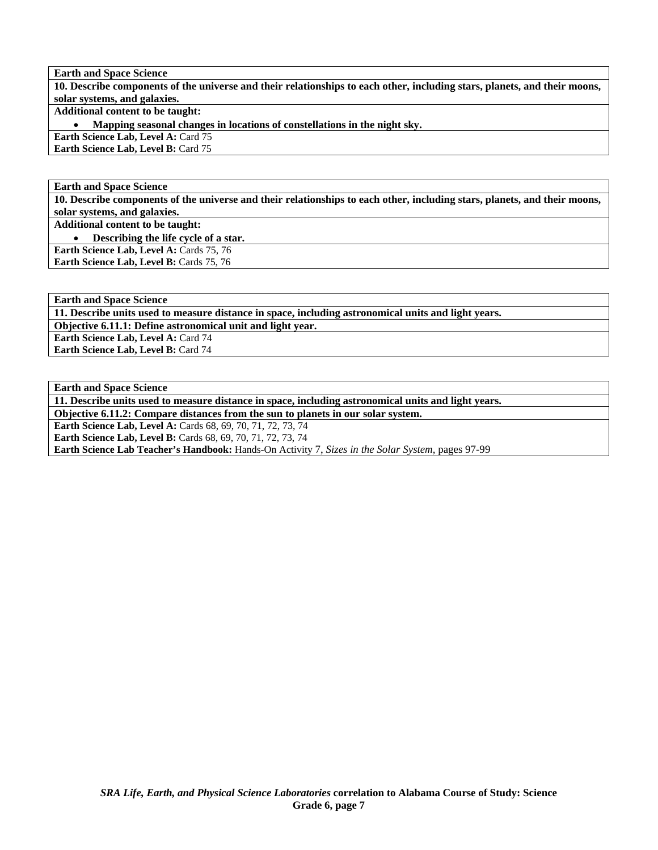**Earth and Space Science 10. Describe components of the universe and their relationships to each other, including stars, planets, and their moons, solar systems, and galaxies. Additional content to be taught:** 

• **Mapping seasonal changes in locations of constellations in the night sky.** 

**Earth Science Lab, Level A: Card 75 Earth Science Lab, Level B: Card 75** 

**Earth and Space Science** 

**10. Describe components of the universe and their relationships to each other, including stars, planets, and their moons, solar systems, and galaxies.** 

**Additional content to be taught:** 

• **Describing the life cycle of a star.** 

**Earth Science Lab, Level A: Cards 75, 76** Earth Science Lab, Level B: Cards 75, 76

**Earth and Space Science** 

**11. Describe units used to measure distance in space, including astronomical units and light years.** 

**Objective 6.11.1: Define astronomical unit and light year.** 

**Earth Science Lab, Level A: Card 74 Earth Science Lab, Level B: Card 74** 

**Earth and Space Science** 

**11. Describe units used to measure distance in space, including astronomical units and light years.** 

**Objective 6.11.2: Compare distances from the sun to planets in our solar system.** 

**Earth Science Lab, Level A: Cards 68, 69, 70, 71, 72, 73, 74** 

**Earth Science Lab, Level B:** Cards 68, 69, 70, 71, 72, 73, 74

**Earth Science Lab Teacher's Handbook:** Hands-On Activity 7, *Sizes in the Solar System,* pages 97-99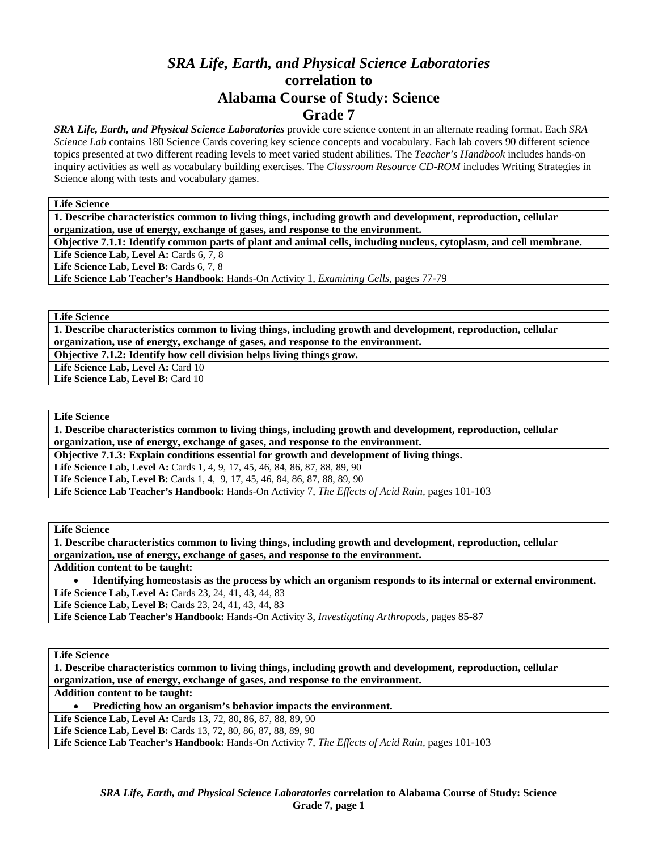# *SRA Life, Earth, and Physical Science Laboratories*  **correlation to Alabama Course of Study: Science Grade 7**

*SRA Life, Earth, and Physical Science Laboratories* provide core science content in an alternate reading format. Each *SRA Science Lab* contains 180 Science Cards covering key science concepts and vocabulary. Each lab covers 90 different science topics presented at two different reading levels to meet varied student abilities. The *Teacher's Handbook* includes hands-on inquiry activities as well as vocabulary building exercises. The *Classroom Resource CD-ROM* includes Writing Strategies in Science along with tests and vocabulary games.

**Life Science** 

**1. Describe characteristics common to living things, including growth and development, reproduction, cellular organization, use of energy, exchange of gases, and response to the environment.** 

**Objective 7.1.1: Identify common parts of plant and animal cells, including nucleus, cytoplasm, and cell membrane.** 

Life Science Lab, Level A: Cards 6, 7, 8

Life Science Lab, Level B: Cards 6, 7, 8

**Life Science Lab Teacher's Handbook:** Hands-On Activity 1, *Examining Cells,* pages 77-79

**Life Science** 

**1. Describe characteristics common to living things, including growth and development, reproduction, cellular organization, use of energy, exchange of gases, and response to the environment.** 

**Objective 7.1.2: Identify how cell division helps living things grow.** 

Life Science Lab, Level A: Card 10 Life Science Lab, Level B: Card 10

**Life Science** 

**1. Describe characteristics common to living things, including growth and development, reproduction, cellular organization, use of energy, exchange of gases, and response to the environment.** 

**Objective 7.1.3: Explain conditions essential for growth and development of living things.** 

Life Science Lab, Level A: Cards 1, 4, 9, 17, 45, 46, 84, 86, 87, 88, 89, 90

Life Science Lab, Level B: Cards 1, 4, 9, 17, 45, 46, 84, 86, 87, 88, 89, 90

**Life Science Lab Teacher's Handbook:** Hands-On Activity 7, *The Effects of Acid Rain,* pages 101-103

**Life Science** 

**1. Describe characteristics common to living things, including growth and development, reproduction, cellular organization, use of energy, exchange of gases, and response to the environment.** 

**Addition content to be taught:** 

• **Identifying homeostasis as the process by which an organism responds to its internal or external environment.** 

Life Science Lab, Level A: Cards 23, 24, 41, 43, 44, 83

Life Science Lab, Level B: Cards 23, 24, 41, 43, 44, 83

**Life Science Lab Teacher's Handbook:** Hands-On Activity 3, *Investigating Arthropods,* pages 85-87

**Life Science** 

| 1. Describe characteristics common to living things, including growth and development, reproduction, cellular |
|---------------------------------------------------------------------------------------------------------------|
| organization, use of energy, exchange of gases, and response to the environment.                              |
| <b>Addition content to be taught:</b>                                                                         |
| Predicting how an organism's behavior impacts the environment.                                                |
| Life Science Lab, Level A: Cards 13, 72, 80, 86, 87, 88, 89, 90                                               |
| <b>Life Science Lab, Level B:</b> Cards 13, 72, 80, 86, 87, 88, 89, 90                                        |
| Life Science Lab Teacher's Handbook: Hands-On Activity 7, The Effects of Acid Rain, pages 101-103             |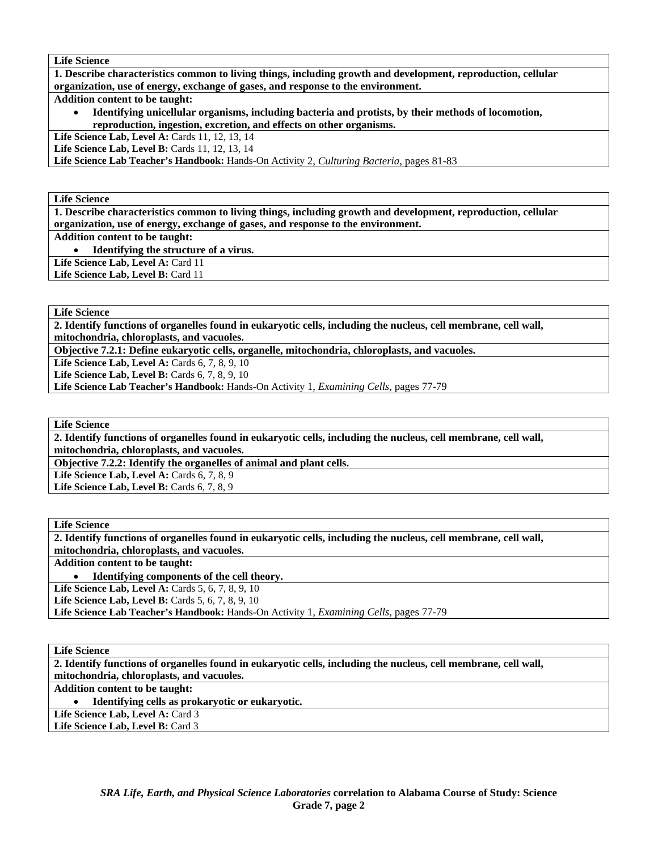**1. Describe characteristics common to living things, including growth and development, reproduction, cellular organization, use of energy, exchange of gases, and response to the environment.** 

**Addition content to be taught:** 

• **Identifying unicellular organisms, including bacteria and protists, by their methods of locomotion, reproduction, ingestion, excretion, and effects on other organisms.** 

**Life Science Lab, Level A:** Cards 11, 12, 13, 14

Life Science Lab, Level B: Cards 11, 12, 13, 14

**Life Science Lab Teacher's Handbook:** Hands-On Activity 2, *Culturing Bacteria,* pages 81-83

**Life Science** 

**1. Describe characteristics common to living things, including growth and development, reproduction, cellular organization, use of energy, exchange of gases, and response to the environment.** 

**Addition content to be taught:** 

• **Identifying the structure of a virus.** 

Life Science Lab, Level A: Card 11

Life Science Lab, Level B: Card 11

**Life Science** 

**2. Identify functions of organelles found in eukaryotic cells, including the nucleus, cell membrane, cell wall, mitochondria, chloroplasts, and vacuoles.** 

**Objective 7.2.1: Define eukaryotic cells, organelle, mitochondria, chloroplasts, and vacuoles.** 

**Life Science Lab, Level A: Cards 6, 7, 8, 9, 10** 

**Life Science Lab, Level B: Cards 6, 7, 8, 9, 10** 

**Life Science Lab Teacher's Handbook:** Hands-On Activity 1, *Examining Cells,* pages 77-79

**Life Science** 

**2. Identify functions of organelles found in eukaryotic cells, including the nucleus, cell membrane, cell wall, mitochondria, chloroplasts, and vacuoles.** 

**Objective 7.2.2: Identify the organelles of animal and plant cells.** 

**Life Science Lab, Level A: Cards 6, 7, 8, 9** 

**Life Science Lab, Level B:** Cards 6, 7, 8, 9

**Life Science** 

**2. Identify functions of organelles found in eukaryotic cells, including the nucleus, cell membrane, cell wall, mitochondria, chloroplasts, and vacuoles.** 

**Addition content to be taught:** 

• **Identifying components of the cell theory.** 

**Life Science Lab, Level A: Cards 5, 6, 7, 8, 9, 10** 

**Life Science Lab, Level B: Cards 5, 6, 7, 8, 9, 10** 

**Life Science Lab Teacher's Handbook:** Hands-On Activity 1, *Examining Cells,* pages 77-79

**Life Science** 

**2. Identify functions of organelles found in eukaryotic cells, including the nucleus, cell membrane, cell wall, mitochondria, chloroplasts, and vacuoles.** 

**Addition content to be taught:** 

• **Identifying cells as prokaryotic or eukaryotic.** 

Life Science Lab, Level A: Card 3

Life Science Lab, Level B: Card 3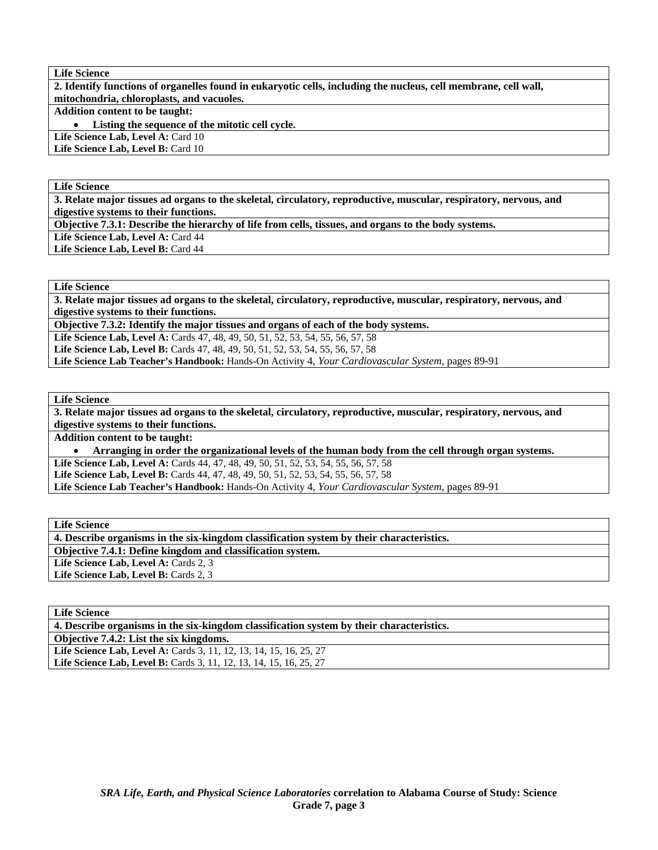**2. Identify functions of organelles found in eukaryotic cells, including the nucleus, cell membrane, cell wall, mitochondria, chloroplasts, and vacuoles.** 

# **Addition content to be taught:**

Listing the sequence of the mitotic cell cycle.

Life Science Lab, Level A: Card 10 Life Science Lab, Level B: Card 10

#### **Life Science**

**3. Relate major tissues ad organs to the skeletal, circulatory, reproductive, muscular, respiratory, nervous, and digestive systems to their functions.** 

**Objective 7.3.1: Describe the hierarchy of life from cells, tissues, and organs to the body systems.** 

Life Science Lab, Level A: Card 44

Life Science Lab, Level B: Card 44

#### **Life Science**

**3. Relate major tissues ad organs to the skeletal, circulatory, reproductive, muscular, respiratory, nervous, and digestive systems to their functions.** 

**Objective 7.3.2: Identify the major tissues and organs of each of the body systems.** 

Life Science Lab, Level A: Cards 47, 48, 49, 50, 51, 52, 53, 54, 55, 56, 57, 58 **Life Science Lab, Level B:** Cards 47, 48, 49, 50, 51, 52, 53, 54, 55, 56, 57, 58

**Life Science Lab Teacher's Handbook:** Hands-On Activity 4, *Your Cardiovascular System,* pages 89-91

#### **Life Science**

**3. Relate major tissues ad organs to the skeletal, circulatory, reproductive, muscular, respiratory, nervous, and digestive systems to their functions.** 

**Addition content to be taught:** 

• **Arranging in order the organizational levels of the human body from the cell through organ systems.** 

Life Science Lab, Level A: Cards 44, 47, 48, 49, 50, 51, 52, 53, 54, 55, 56, 57, 58

Life Science Lab, Level B: Cards 44, 47, 48, 49, 50, 51, 52, 53, 54, 55, 56, 57, 58

**Life Science Lab Teacher's Handbook:** Hands-On Activity 4, *Your Cardiovascular System,* pages 89-91

**Life Science** 

**4. Describe organisms in the six-kingdom classification system by their characteristics. Objective 7.4.1: Define kingdom and classification system.**  Life Science Lab, Level A: Cards 2, 3 Life Science Lab, Level B: Cards 2, 3

**Life Science** 

**4. Describe organisms in the six-kingdom classification system by their characteristics.** 

**Objective 7.4.2: List the six kingdoms.** 

Life Science Lab, Level A: Cards 3, 11, 12, 13, 14, 15, 16, 25, 27 **Life Science Lab, Level B:** Cards 3, 11, 12, 13, 14, 15, 16, 25, 27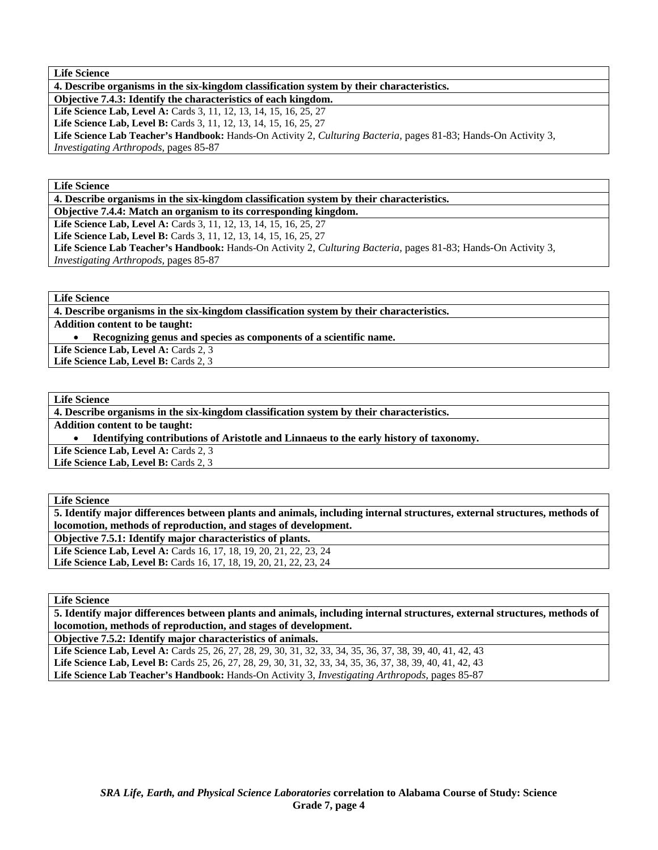**4. Describe organisms in the six-kingdom classification system by their characteristics.** 

**Objective 7.4.3: Identify the characteristics of each kingdom.** 

**Life Science Lab, Level A:** Cards 3, 11, 12, 13, 14, 15, 16, 25, 27

Life Science Lab, Level B: Cards 3, 11, 12, 13, 14, 15, 16, 25, 27

**Life Science Lab Teacher's Handbook:** Hands-On Activity 2, *Culturing Bacteria,* pages 81-83; Hands-On Activity 3, *Investigating Arthropods,* pages 85-87

**Life Science** 

**4. Describe organisms in the six-kingdom classification system by their characteristics.** 

**Objective 7.4.4: Match an organism to its corresponding kingdom.** 

Life Science Lab, Level A: Cards 3, 11, 12, 13, 14, 15, 16, 25, 27 Life Science Lab, Level B: Cards 3, 11, 12, 13, 14, 15, 16, 25, 27

**Life Science Lab Teacher's Handbook:** Hands-On Activity 2, *Culturing Bacteria,* pages 81-83; Hands-On Activity 3,

*Investigating Arthropods,* pages 85-87

**Life Science** 

**4. Describe organisms in the six-kingdom classification system by their characteristics.** 

**Addition content to be taught:** 

• **Recognizing genus and species as components of a scientific name.** 

Life Science Lab, Level A: Cards 2, 3 Life Science Lab, Level B: Cards 2, 3

**Life Science** 

**4. Describe organisms in the six-kingdom classification system by their characteristics.** 

**Addition content to be taught:** 

• **Identifying contributions of Aristotle and Linnaeus to the early history of taxonomy.** 

Life Science Lab, Level A: Cards 2, 3

**Life Science Lab, Level B: Cards 2, 3** 

**Life Science** 

**5. Identify major differences between plants and animals, including internal structures, external structures, methods of locomotion, methods of reproduction, and stages of development. Objective 7.5.1: Identify major characteristics of plants.** 

**Life Science Lab, Level A:** Cards 16, 17, 18, 19, 20, 21, 22, 23, 24 Life Science Lab, Level B: Cards 16, 17, 18, 19, 20, 21, 22, 23, 24

**Life Science** 

**5. Identify major differences between plants and animals, including internal structures, external structures, methods of locomotion, methods of reproduction, and stages of development.** 

**Objective 7.5.2: Identify major characteristics of animals.** 

**Life Science Lab, Level A:** Cards 25, 26, 27, 28, 29, 30, 31, 32, 33, 34, 35, 36, 37, 38, 39, 40, 41, 42, 43 **Life Science Lab, Level B:** Cards 25, 26, 27, 28, 29, 30, 31, 32, 33, 34, 35, 36, 37, 38, 39, 40, 41, 42, 43 **Life Science Lab Teacher's Handbook:** Hands-On Activity 3, *Investigating Arthropods,* pages 85-87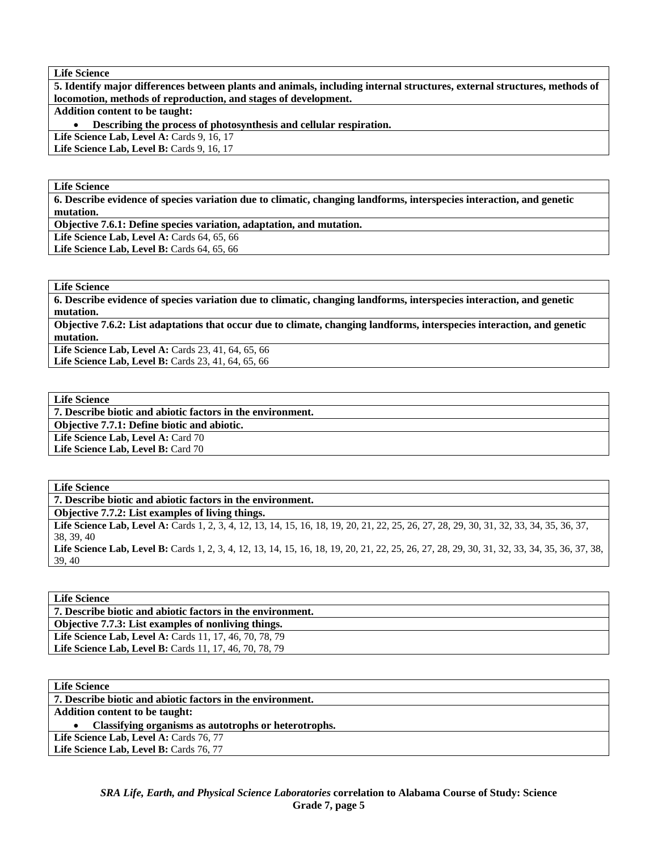**5. Identify major differences between plants and animals, including internal structures, external structures, methods of locomotion, methods of reproduction, and stages of development.** 

**Addition content to be taught:** 

• **Describing the process of photosynthesis and cellular respiration.** 

Life Science Lab, Level A: Cards 9, 16, 17

**Life Science Lab, Level B: Cards 9, 16, 17** 

## **Life Science**

**6. Describe evidence of species variation due to climatic, changing landforms, interspecies interaction, and genetic mutation.** 

**Objective 7.6.1: Define species variation, adaptation, and mutation.** 

Life Science Lab, Level A: Cards 64, 65, 66

**Life Science Lab, Level B:** Cards 64, 65, 66

### **Life Science**

**6. Describe evidence of species variation due to climatic, changing landforms, interspecies interaction, and genetic mutation.** 

**Objective 7.6.2: List adaptations that occur due to climate, changing landforms, interspecies interaction, and genetic mutation.** 

Life Science Lab, Level A: Cards 23, 41, 64, 65, 66 Life Science Lab, Level B: Cards 23, 41, 64, 65, 66

**Life Science** 

**7. Describe biotic and abiotic factors in the environment.** 

**Objective 7.7.1: Define biotic and abiotic.** 

Life Science Lab, Level A: Card 70

Life Science Lab, Level B: Card 70

**Life Science** 

**7. Describe biotic and abiotic factors in the environment.** 

**Objective 7.7.2: List examples of living things.** 

Life Science Lab, Level A: Cards 1, 2, 3, 4, 12, 13, 14, 15, 16, 18, 19, 20, 21, 22, 25, 26, 27, 28, 29, 30, 31, 32, 33, 34, 35, 36, 37, 38, 39, 40

Life Science Lab, Level B: Cards 1, 2, 3, 4, 12, 13, 14, 15, 16, 18, 19, 20, 21, 22, 25, 26, 27, 28, 29, 30, 31, 32, 33, 34, 35, 36, 37, 38, 39, 40

**Life Science** 

**7. Describe biotic and abiotic factors in the environment.** 

**Objective 7.7.3: List examples of nonliving things.** 

Life Science Lab, Level A: Cards 11, 17, 46, 70, 78, 79 Life Science Lab, Level B: Cards 11, 17, 46, 70, 78, 79

**Life Science** 

**7. Describe biotic and abiotic factors in the environment.** 

**Addition content to be taught:** 

• **Classifying organisms as autotrophs or heterotrophs.** 

Life Science Lab, Level A: Cards 76, 77 Life Science Lab, Level B: Cards 76, 77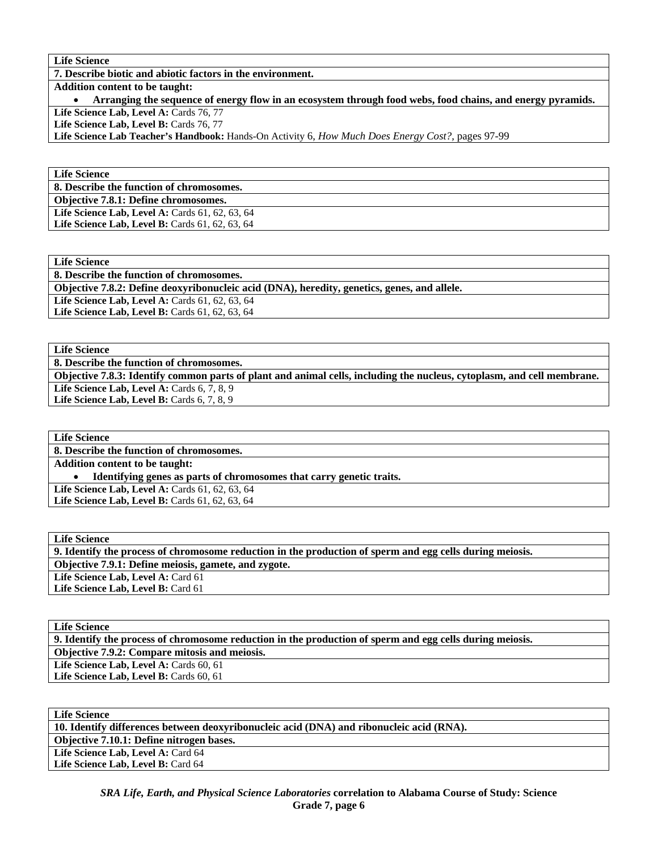**7. Describe biotic and abiotic factors in the environment.** 

**Addition content to be taught:** 

• **Arranging the sequence of energy flow in an ecosystem through food webs, food chains, and energy pyramids.**  Life Science Lab, Level A: Cards 76, 77

Life Science Lab, Level B: Cards 76, 77

**Life Science Lab Teacher's Handbook:** Hands-On Activity 6, *How Much Does Energy Cost?,* pages 97-99

**Life Science** 

**8. Describe the function of chromosomes.** 

**Objective 7.8.1: Define chromosomes.** 

Life Science Lab, Level A: Cards 61, 62, 63, 64 Life Science Lab, Level B: Cards 61, 62, 63, 64

**Life Science** 

**8. Describe the function of chromosomes.** 

**Objective 7.8.2: Define deoxyribonucleic acid (DNA), heredity, genetics, genes, and allele.** 

Life Science Lab, Level A: Cards 61, 62, 63, 64

Life Science Lab, Level B: Cards 61, 62, 63, 64

**Life Science** 

**8. Describe the function of chromosomes.** 

**Objective 7.8.3: Identify common parts of plant and animal cells, including the nucleus, cytoplasm, and cell membrane. Life Science Lab, Level A: Cards 6, 7, 8, 9** 

Life Science Lab, Level B: Cards 6, 7, 8, 9

**Life Science** 

**8. Describe the function of chromosomes.** 

**Addition content to be taught:** 

• **Identifying genes as parts of chromosomes that carry genetic traits.** 

Life Science Lab, Level A: Cards 61, 62, 63, 64

Life Science Lab, Level B: Cards 61, 62, 63, 64

**Life Science 9. Identify the process of chromosome reduction in the production of sperm and egg cells during meiosis. Objective 7.9.1: Define meiosis, gamete, and zygote.**  Life Science Lab, Level A: Card 61 Life Science Lab, Level B: Card 61

| <b>Life Science</b>                                                                                      |
|----------------------------------------------------------------------------------------------------------|
| 9. Identify the process of chromosome reduction in the production of sperm and egg cells during meiosis. |
| <b>Objective 7.9.2: Compare mitosis and meiosis.</b>                                                     |
| Life Science Lab, Level A: Cards 60, 61                                                                  |
| Life Science Lab, Level B: Cards 60, 61                                                                  |

**Life Science 10. Identify differences between deoxyribonucleic acid (DNA) and ribonucleic acid (RNA). Objective 7.10.1: Define nitrogen bases.**  Life Science Lab, Level A: Card 64 Life Science Lab, Level B: Card 64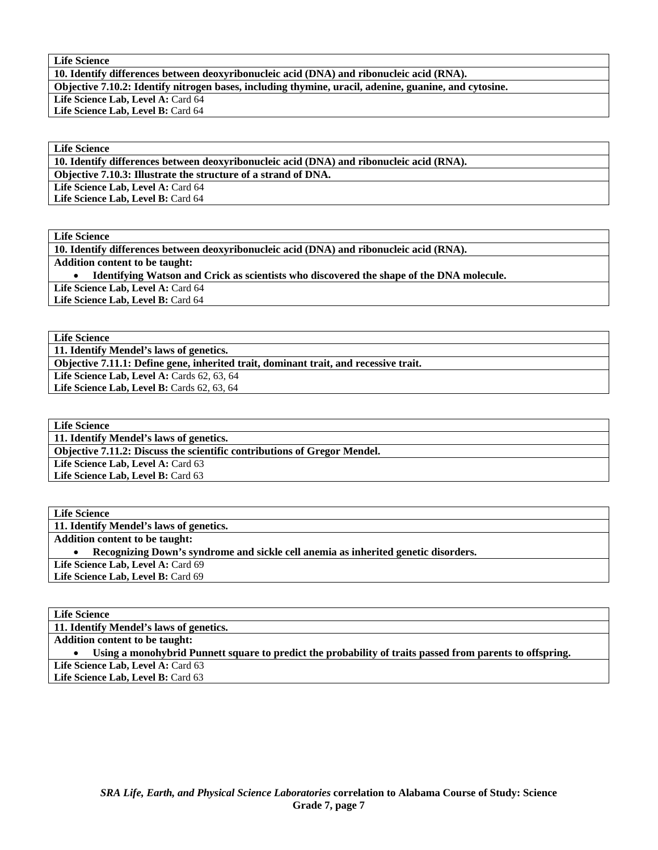**10. Identify differences between deoxyribonucleic acid (DNA) and ribonucleic acid (RNA).** 

**Objective 7.10.2: Identify nitrogen bases, including thymine, uracil, adenine, guanine, and cytosine.** 

Life Science Lab, Level A: Card 64

Life Science Lab, Level B: Card 64

# **Life Science**

**10. Identify differences between deoxyribonucleic acid (DNA) and ribonucleic acid (RNA).** 

**Objective 7.10.3: Illustrate the structure of a strand of DNA.** 

Life Science Lab, Level A: Card 64

Life Science Lab, Level B: Card 64

**Life Science** 

**10. Identify differences between deoxyribonucleic acid (DNA) and ribonucleic acid (RNA). Addition content to be taught:**  • **Identifying Watson and Crick as scientists who discovered the shape of the DNA molecule.**  Life Science Lab, Level A: Card 64 Life Science Lab, Level B: Card 64

**Life Science** 

**11. Identify Mendel's laws of genetics.** 

**Objective 7.11.1: Define gene, inherited trait, dominant trait, and recessive trait.** 

Life Science Lab, Level A: Cards 62, 63, 64

Life Science Lab, Level B: Cards 62, 63, 64

**Life Science 11. Identify Mendel's laws of genetics. Objective 7.11.2: Discuss the scientific contributions of Gregor Mendel.**  Life Science Lab, Level A: Card 63 Life Science Lab, Level B: Card 63

**Life Science 11. Identify Mendel's laws of genetics. Addition content to be taught:**  • **Recognizing Down's syndrome and sickle cell anemia as inherited genetic disorders.**  Life Science Lab, Level A: Card 69 Life Science Lab, Level B: Card 69

**Life Science 11. Identify Mendel's laws of genetics. Addition content to be taught:**  • **Using a monohybrid Punnett square to predict the probability of traits passed from parents to offspring.**  Life Science Lab, Level A: Card 63 Life Science Lab, Level B: Card 63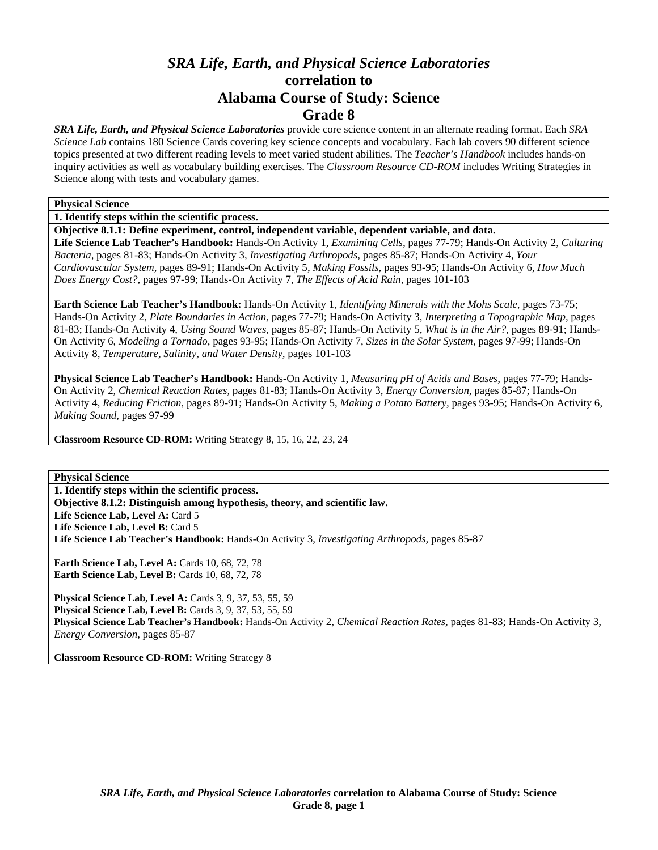# *SRA Life, Earth, and Physical Science Laboratories*  **correlation to Alabama Course of Study: Science Grade 8**

*SRA Life, Earth, and Physical Science Laboratories* provide core science content in an alternate reading format. Each *SRA Science Lab* contains 180 Science Cards covering key science concepts and vocabulary. Each lab covers 90 different science topics presented at two different reading levels to meet varied student abilities. The *Teacher's Handbook* includes hands-on inquiry activities as well as vocabulary building exercises. The *Classroom Resource CD-ROM* includes Writing Strategies in Science along with tests and vocabulary games.

#### **Physical Science**

**1. Identify steps within the scientific process.** 

**Objective 8.1.1: Define experiment, control, independent variable, dependent variable, and data.** 

**Life Science Lab Teacher's Handbook:** Hands-On Activity 1, *Examining Cells,* pages 77-79; Hands-On Activity 2, *Culturing Bacteria,* pages 81-83; Hands-On Activity 3, *Investigating Arthropods,* pages 85-87; Hands-On Activity 4, *Your Cardiovascular System,* pages 89-91; Hands-On Activity 5, *Making Fossils,* pages 93-95; Hands-On Activity 6, *How Much Does Energy Cost?,* pages 97-99; Hands-On Activity 7, *The Effects of Acid Rain,* pages 101-103

**Earth Science Lab Teacher's Handbook:** Hands-On Activity 1, *Identifying Minerals with the Mohs Scale,* pages 73-75; Hands-On Activity 2, *Plate Boundaries in Action,* pages 77-79; Hands-On Activity 3, *Interpreting a Topographic Map,* pages 81-83; Hands-On Activity 4, *Using Sound Waves,* pages 85-87; Hands-On Activity 5, *What is in the Air?,* pages 89-91; Hands-On Activity 6, *Modeling a Tornado,* pages 93-95; Hands-On Activity 7, *Sizes in the Solar System,* pages 97-99; Hands-On Activity 8, *Temperature, Salinity, and Water Density,* pages 101-103

**Physical Science Lab Teacher's Handbook:** Hands-On Activity 1, *Measuring pH of Acids and Bases,* pages 77-79; Hands-On Activity 2, *Chemical Reaction Rates,* pages 81-83; Hands-On Activity 3, *Energy Conversion,* pages 85-87; Hands-On Activity 4, *Reducing Friction,* pages 89-91; Hands-On Activity 5, *Making a Potato Battery,* pages 93-95; Hands-On Activity 6, *Making Sound,* pages 97-99

**Classroom Resource CD-ROM:** Writing Strategy 8, 15, 16, 22, 23, 24

**Physical Science** 

**1. Identify steps within the scientific process.** 

**Objective 8.1.2: Distinguish among hypothesis, theory, and scientific law.** 

Life Science Lab, Level A: Card 5

Life Science Lab, Level B: Card 5 **Life Science Lab Teacher's Handbook:** Hands-On Activity 3, *Investigating Arthropods,* pages 85-87

**Earth Science Lab, Level A: Cards 10, 68, 72, 78 Earth Science Lab, Level B: Cards 10, 68, 72, 78** 

**Physical Science Lab, Level A:** Cards 3, 9, 37, 53, 55, 59 **Physical Science Lab, Level B:** Cards 3, 9, 37, 53, 55, 59 **Physical Science Lab Teacher's Handbook:** Hands-On Activity 2, *Chemical Reaction Rates,* pages 81-83; Hands-On Activity 3, *Energy Conversion,* pages 85-87

**Classroom Resource CD-ROM:** Writing Strategy 8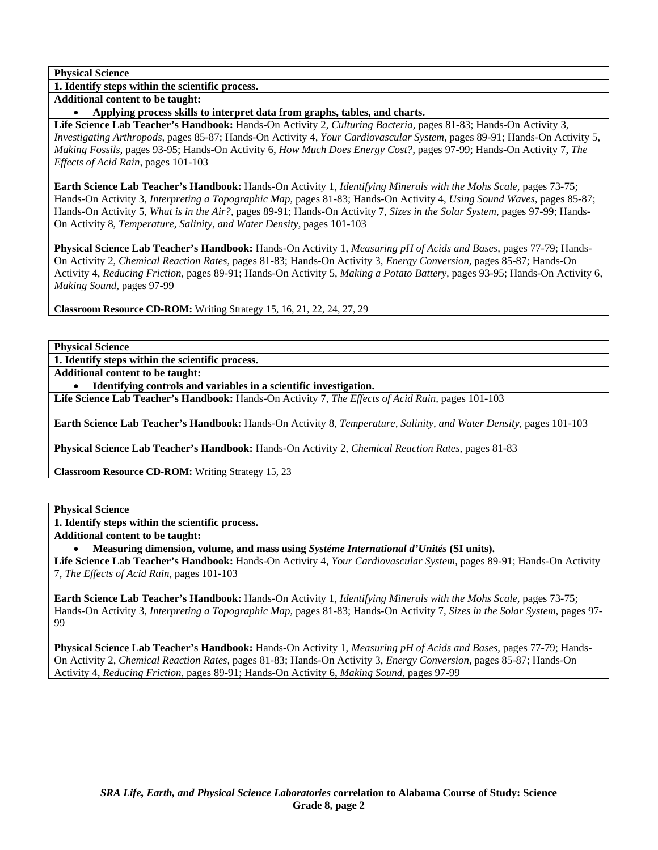**1. Identify steps within the scientific process.** 

**Additional content to be taught:** 

• **Applying process skills to interpret data from graphs, tables, and charts.** 

**Life Science Lab Teacher's Handbook:** Hands-On Activity 2, *Culturing Bacteria,* pages 81-83; Hands-On Activity 3, *Investigating Arthropods,* pages 85-87; Hands-On Activity 4, *Your Cardiovascular System,* pages 89-91; Hands-On Activity 5, *Making Fossils,* pages 93-95; Hands-On Activity 6, *How Much Does Energy Cost?,* pages 97-99; Hands-On Activity 7, *The Effects of Acid Rain,* pages 101-103

**Earth Science Lab Teacher's Handbook:** Hands-On Activity 1, *Identifying Minerals with the Mohs Scale,* pages 73-75; Hands-On Activity 3, *Interpreting a Topographic Map,* pages 81-83; Hands-On Activity 4, *Using Sound Waves,* pages 85-87; Hands-On Activity 5, *What is in the Air?,* pages 89-91; Hands-On Activity 7, *Sizes in the Solar System,* pages 97-99; Hands-On Activity 8, *Temperature, Salinity, and Water Density,* pages 101-103

**Physical Science Lab Teacher's Handbook:** Hands-On Activity 1, *Measuring pH of Acids and Bases,* pages 77-79; Hands-On Activity 2, *Chemical Reaction Rates,* pages 81-83; Hands-On Activity 3, *Energy Conversion,* pages 85-87; Hands-On Activity 4, *Reducing Friction,* pages 89-91; Hands-On Activity 5, *Making a Potato Battery,* pages 93-95; Hands-On Activity 6, *Making Sound,* pages 97-99

**Classroom Resource CD-ROM:** Writing Strategy 15, 16, 21, 22, 24, 27, 29

**Physical Science** 

**1. Identify steps within the scientific process.** 

**Additional content to be taught:** 

• **Identifying controls and variables in a scientific investigation.** 

**Life Science Lab Teacher's Handbook:** Hands-On Activity 7, *The Effects of Acid Rain,* pages 101-103

**Earth Science Lab Teacher's Handbook:** Hands-On Activity 8, *Temperature, Salinity, and Water Density,* pages 101-103

**Physical Science Lab Teacher's Handbook:** Hands-On Activity 2, *Chemical Reaction Rates,* pages 81-83

**Classroom Resource CD-ROM:** Writing Strategy 15, 23

## **Physical Science**

**1. Identify steps within the scientific process.** 

**Additional content to be taught:** 

• **Measuring dimension, volume, and mass using** *Systéme International d'Unités* **(SI units).** 

**Life Science Lab Teacher's Handbook:** Hands-On Activity 4, *Your Cardiovascular System,* pages 89-91; Hands-On Activity 7, *The Effects of Acid Rain,* pages 101-103

**Earth Science Lab Teacher's Handbook:** Hands-On Activity 1, *Identifying Minerals with the Mohs Scale,* pages 73-75; Hands-On Activity 3, *Interpreting a Topographic Map,* pages 81-83; Hands-On Activity 7, *Sizes in the Solar System,* pages 97- 99

**Physical Science Lab Teacher's Handbook:** Hands-On Activity 1, *Measuring pH of Acids and Bases,* pages 77-79; Hands-On Activity 2, *Chemical Reaction Rates,* pages 81-83; Hands-On Activity 3, *Energy Conversion,* pages 85-87; Hands-On Activity 4, *Reducing Friction,* pages 89-91; Hands-On Activity 6, *Making Sound,* pages 97-99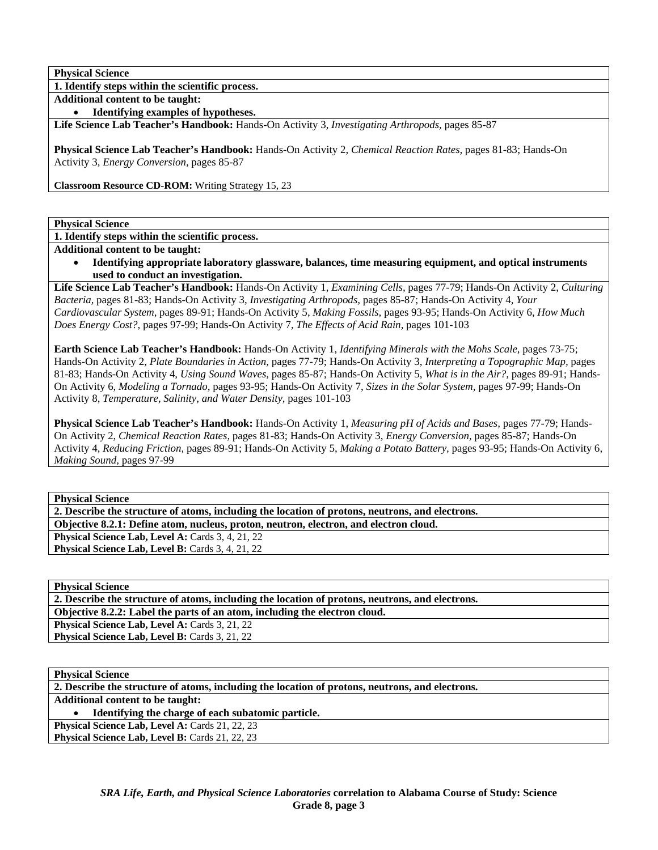**1. Identify steps within the scientific process.** 

**Additional content to be taught:** 

• **Identifying examples of hypotheses.** 

**Life Science Lab Teacher's Handbook:** Hands-On Activity 3, *Investigating Arthropods,* pages 85-87

**Physical Science Lab Teacher's Handbook:** Hands-On Activity 2, *Chemical Reaction Rates,* pages 81-83; Hands-On Activity 3, *Energy Conversion,* pages 85-87

**Classroom Resource CD-ROM:** Writing Strategy 15, 23

**Physical Science** 

**1. Identify steps within the scientific process.** 

**Additional content to be taught:** 

• **Identifying appropriate laboratory glassware, balances, time measuring equipment, and optical instruments used to conduct an investigation.** 

**Life Science Lab Teacher's Handbook:** Hands-On Activity 1, *Examining Cells,* pages 77-79; Hands-On Activity 2, *Culturing Bacteria,* pages 81-83; Hands-On Activity 3, *Investigating Arthropods,* pages 85-87; Hands-On Activity 4, *Your Cardiovascular System,* pages 89-91; Hands-On Activity 5, *Making Fossils,* pages 93-95; Hands-On Activity 6, *How Much Does Energy Cost?,* pages 97-99; Hands-On Activity 7, *The Effects of Acid Rain,* pages 101-103

**Earth Science Lab Teacher's Handbook:** Hands-On Activity 1, *Identifying Minerals with the Mohs Scale,* pages 73-75; Hands-On Activity 2, *Plate Boundaries in Action,* pages 77-79; Hands-On Activity 3, *Interpreting a Topographic Map,* pages 81-83; Hands-On Activity 4, *Using Sound Waves,* pages 85-87; Hands-On Activity 5, *What is in the Air?,* pages 89-91; Hands-On Activity 6, *Modeling a Tornado,* pages 93-95; Hands-On Activity 7, *Sizes in the Solar System,* pages 97-99; Hands-On Activity 8, *Temperature, Salinity, and Water Density,* pages 101-103

**Physical Science Lab Teacher's Handbook:** Hands-On Activity 1, *Measuring pH of Acids and Bases,* pages 77-79; Hands-On Activity 2, *Chemical Reaction Rates,* pages 81-83; Hands-On Activity 3, *Energy Conversion,* pages 85-87; Hands-On Activity 4, *Reducing Friction,* pages 89-91; Hands-On Activity 5, *Making a Potato Battery,* pages 93-95; Hands-On Activity 6, *Making Sound,* pages 97-99

**Physical Science** 

**2. Describe the structure of atoms, including the location of protons, neutrons, and electrons.** 

**Objective 8.2.1: Define atom, nucleus, proton, neutron, electron, and electron cloud.** 

Physical Science Lab, Level A: Cards 3, 4, 21, 22 Physical Science Lab, Level B: Cards 3, 4, 21, 22

**Physical Science** 

**2. Describe the structure of atoms, including the location of protons, neutrons, and electrons. Objective 8.2.2: Label the parts of an atom, including the electron cloud.** 

Physical Science Lab, Level A: Cards 3, 21, 22

Physical Science Lab, Level B: Cards 3, 21, 22

**Physical Science** 

**2. Describe the structure of atoms, including the location of protons, neutrons, and electrons.** 

**Additional content to be taught:** 

• **Identifying the charge of each subatomic particle.** 

**Physical Science Lab, Level A: Cards 21, 22, 23** Physical Science Lab, Level B: Cards 21, 22, 23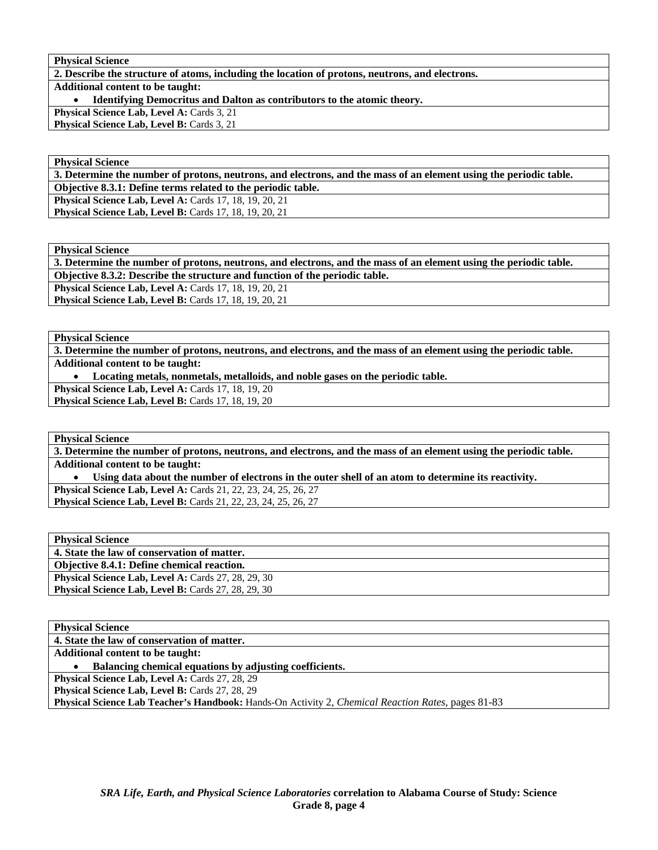**2. Describe the structure of atoms, including the location of protons, neutrons, and electrons. Additional content to be taught:**  • **Identifying Democritus and Dalton as contributors to the atomic theory. Physical Science Lab, Level A: Cards 3, 21** 

Physical Science Lab, Level B: Cards 3, 21

### **Physical Science**

**3. Determine the number of protons, neutrons, and electrons, and the mass of an element using the periodic table. Objective 8.3.1: Define terms related to the periodic table. Physical Science Lab, Level A:** Cards 17, 18, 19, 20, 21 **Physical Science Lab, Level B: Cards 17, 18, 19, 20, 21** 

**Physical Science** 

**3. Determine the number of protons, neutrons, and electrons, and the mass of an element using the periodic table. Objective 8.3.2: Describe the structure and function of the periodic table.** 

**Physical Science Lab, Level A: Cards 17, 18, 19, 20, 21** 

**Physical Science Lab, Level B: Cards 17, 18, 19, 20, 21** 

**Physical Science** 

**3. Determine the number of protons, neutrons, and electrons, and the mass of an element using the periodic table. Additional content to be taught:** 

• **Locating metals, nonmetals, metalloids, and noble gases on the periodic table.** 

**Physical Science Lab, Level A: Cards 17, 18, 19, 20** Physical Science Lab, Level B: Cards 17, 18, 19, 20

**Physical Science** 

**3. Determine the number of protons, neutrons, and electrons, and the mass of an element using the periodic table. Additional content to be taught:** 

• **Using data about the number of electrons in the outer shell of an atom to determine its reactivity. Physical Science Lab, Level A:** Cards 21, 22, 23, 24, 25, 26, 27

**Physical Science Lab, Level B:** Cards 21, 22, 23, 24, 25, 26, 27

| <b>Physical Science</b>                                    |
|------------------------------------------------------------|
| 4. State the law of conservation of matter.                |
| <b>Objective 8.4.1: Define chemical reaction.</b>          |
| <b>Physical Science Lab, Level A: Cards 27, 28, 29, 30</b> |
| <b>Physical Science Lab, Level B:</b> Cards 27, 28, 29, 30 |

| <b>Physical Science</b>                                                                                           |
|-------------------------------------------------------------------------------------------------------------------|
| 4. State the law of conservation of matter.                                                                       |
| <b>Additional content to be taught:</b>                                                                           |
| Balancing chemical equations by adjusting coefficients.                                                           |
| <b>Physical Science Lab, Level A: Cards 27, 28, 29</b>                                                            |
| Physical Science Lab, Level B: Cards 27, 28, 29                                                                   |
| <b>Physical Science Lab Teacher's Handbook:</b> Hands-On Activity 2, <i>Chemical Reaction Rates</i> , pages 81-83 |
|                                                                                                                   |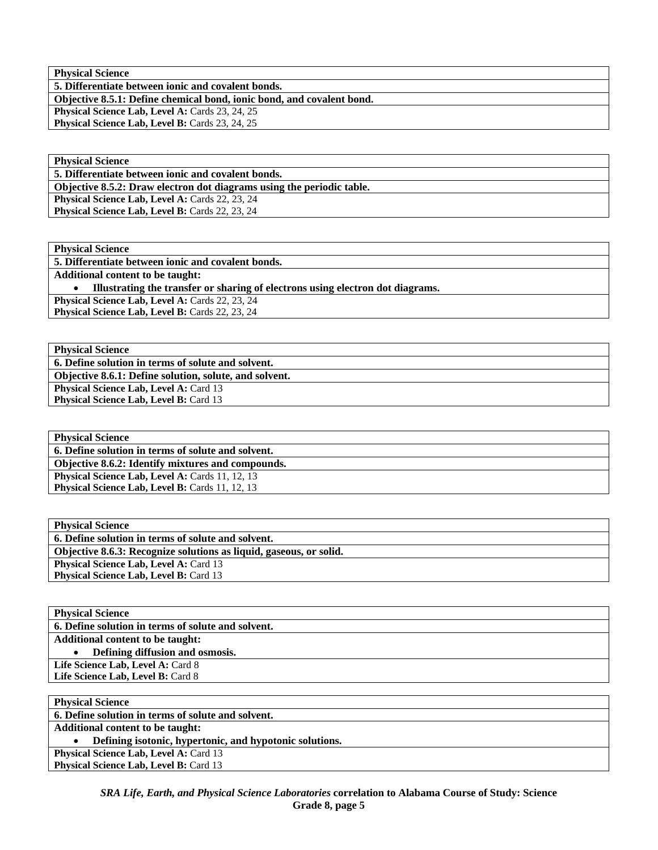**5. Differentiate between ionic and covalent bonds.** 

**Objective 8.5.1: Define chemical bond, ionic bond, and covalent bond.** 

Physical Science Lab, Level A: Cards 23, 24, 25

Physical Science Lab, Level B: Cards 23, 24, 25

| <b>Physical Science</b>                                               |
|-----------------------------------------------------------------------|
| 5. Differentiate between ionic and covalent bonds.                    |
| Objective 8.5.2: Draw electron dot diagrams using the periodic table. |
| <b>Physical Science Lab, Level A: Cards 22, 23, 24</b>                |
| <b>Physical Science Lab, Level B: Cards 22, 23, 24</b>                |

| <b>Physical Science</b>                                                        |
|--------------------------------------------------------------------------------|
| 5. Differentiate between ionic and covalent bonds.                             |
| <b>Additional content to be taught:</b>                                        |
| Illustrating the transfer or sharing of electrons using electron dot diagrams. |
| <b>Physical Science Lab, Level A: Cards 22, 23, 24</b>                         |
| <b>Physical Science Lab, Level B: Cards 22, 23, 24</b>                         |
|                                                                                |

**Physical Science 6. Define solution in terms of solute and solvent. Objective 8.6.1: Define solution, solute, and solvent. Physical Science Lab, Level A: Card 13 Physical Science Lab, Level B: Card 13** 

**Physical Science 6. Define solution in terms of solute and solvent. Objective 8.6.2: Identify mixtures and compounds.**  Physical Science Lab, Level A: Cards 11, 12, 13 Physical Science Lab, Level B: Cards 11, 12, 13

| <b>Physical Science</b>                                            |
|--------------------------------------------------------------------|
| 6. Define solution in terms of solute and solvent.                 |
| Objective 8.6.3: Recognize solutions as liquid, gaseous, or solid. |
| <b>Physical Science Lab, Level A: Card 13</b>                      |
| <b>Physical Science Lab. Level B: Card 13</b>                      |

| <b>Physical Science</b>                            |
|----------------------------------------------------|
| 6. Define solution in terms of solute and solvent. |
| <b>Additional content to be taught:</b>            |
| Defining diffusion and osmosis.<br>$\bullet$       |
| Life Science Lab, Level A: Card 8                  |
| Life Science Lab, Level B: Card 8                  |
|                                                    |
| <b>Dhysical Coinney</b>                            |

| THE SIGHT DETERT                                        |
|---------------------------------------------------------|
| 6. Define solution in terms of solute and solvent.      |
| <b>Additional content to be taught:</b>                 |
| Defining isotonic, hypertonic, and hypotonic solutions. |
| <b>Physical Science Lab, Level A: Card 13</b>           |
| <b>Physical Science Lab, Level B: Card 13</b>           |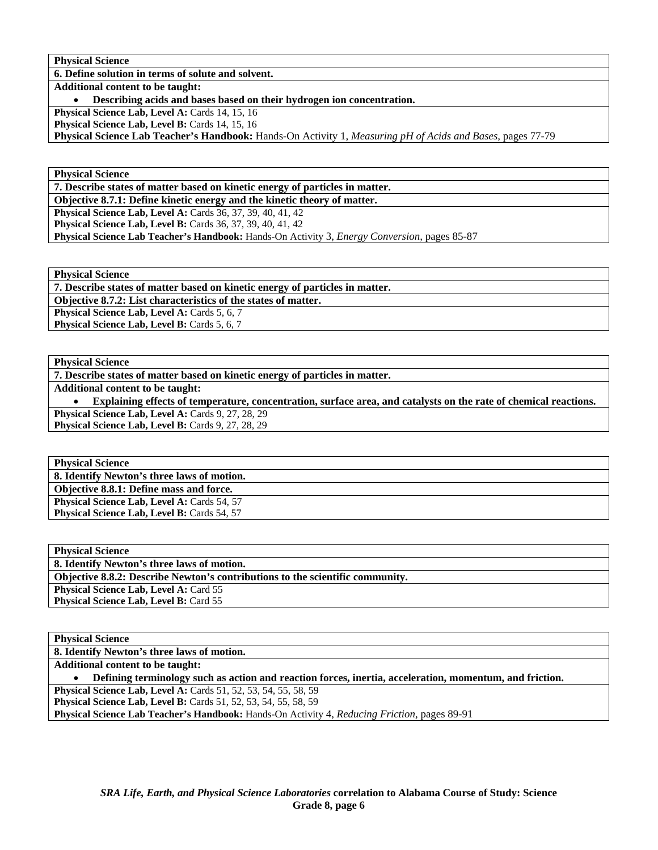**6. Define solution in terms of solute and solvent.** 

**Additional content to be taught:** 

• **Describing acids and bases based on their hydrogen ion concentration.** 

Physical Science Lab, Level A: Cards 14, 15, 16

Physical Science Lab, Level B: Cards 14, 15, 16

**Physical Science Lab Teacher's Handbook:** Hands-On Activity 1, *Measuring pH of Acids and Bases,* pages 77-79

**Physical Science** 

**7. Describe states of matter based on kinetic energy of particles in matter.** 

**Objective 8.7.1: Define kinetic energy and the kinetic theory of matter.** 

**Physical Science Lab, Level A: Cards 36, 37, 39, 40, 41, 42 Physical Science Lab, Level B:** Cards 36, 37, 39, 40, 41, 42

**Physical Science Lab Teacher's Handbook:** Hands-On Activity 3, *Energy Conversion,* pages 85-87

**Physical Science** 

**7. Describe states of matter based on kinetic energy of particles in matter.** 

**Objective 8.7.2: List characteristics of the states of matter.** 

Physical Science Lab, Level A: Cards 5, 6, 7 Physical Science Lab, Level B: Cards 5, 6, 7

#### **Physical Science**

**7. Describe states of matter based on kinetic energy of particles in matter.** 

**Additional content to be taught:** 

• **Explaining effects of temperature, concentration, surface area, and catalysts on the rate of chemical reactions.**  Physical Science Lab, Level A: Cards 9, 27, 28, 29

Physical Science Lab, Level B: Cards 9, 27, 28, 29

**Physical Science 8. Identify Newton's three laws of motion. Objective 8.8.1: Define mass and force. Physical Science Lab, Level A: Cards 54, 57** Physical Science Lab, Level B: Cards 54, 57

**Physical Science 8. Identify Newton's three laws of motion. Objective 8.8.2: Describe Newton's contributions to the scientific community. Physical Science Lab, Level A: Card 55 Physical Science Lab, Level B: Card 55** 

## **Physical Science**

**8. Identify Newton's three laws of motion. Additional content to be taught:**  • **Defining terminology such as action and reaction forces, inertia, acceleration, momentum, and friction. Physical Science Lab, Level A: Cards 51, 52, 53, 54, 55, 58, 59 Physical Science Lab, Level B:** Cards 51, 52, 53, 54, 55, 58, 59 **Physical Science Lab Teacher's Handbook:** Hands-On Activity 4, *Reducing Friction,* pages 89-91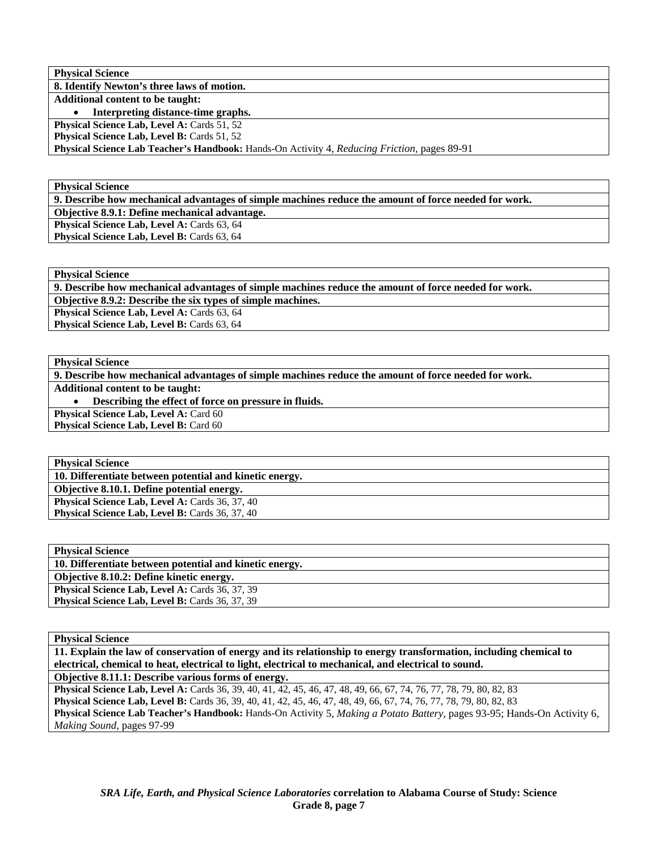| <b>Physical Science</b>                                                                             |
|-----------------------------------------------------------------------------------------------------|
| 8. Identify Newton's three laws of motion.                                                          |
| <b>Additional content to be taught:</b>                                                             |
| Interpreting distance-time graphs.                                                                  |
| <b>Physical Science Lab, Level A: Cards 51, 52</b>                                                  |
| <b>Physical Science Lab, Level B: Cards 51, 52</b>                                                  |
| <b>Physical Science Lab Teacher's Handbook:</b> Hands-On Activity 4, Reducing Friction, pages 89-91 |

**9. Describe how mechanical advantages of simple machines reduce the amount of force needed for work.** 

**Objective 8.9.1: Define mechanical advantage.** 

Physical Science Lab, Level A: Cards 63, 64 Physical Science Lab, Level B: Cards 63, 64

**Physical Science** 

**9. Describe how mechanical advantages of simple machines reduce the amount of force needed for work.** 

**Objective 8.9.2: Describe the six types of simple machines.** 

Physical Science Lab, Level A: Cards 63, 64 Physical Science Lab, Level B: Cards 63, 64

#### **Physical Science**

**9. Describe how mechanical advantages of simple machines reduce the amount of force needed for work.** 

**Additional content to be taught:** 

• **Describing the effect of force on pressure in fluids.** 

**Physical Science Lab, Level A: Card 60** 

Physical Science Lab, Level B: Card 60

**Physical Science 10. Differentiate between potential and kinetic energy. Objective 8.10.1. Define potential energy.**  Physical Science Lab, Level A: Cards 36, 37, 40 Physical Science Lab, Level B: Cards 36, 37, 40

| <b>Physical Science</b>                                 |
|---------------------------------------------------------|
| 10. Differentiate between potential and kinetic energy. |
| Objective 8.10.2: Define kinetic energy.                |
| <b>Physical Science Lab, Level A: Cards 36, 37, 39</b>  |
| <b>Physical Science Lab, Level B:</b> Cards 36, 37, 39  |
|                                                         |

# **Physical Science**

**11. Explain the law of conservation of energy and its relationship to energy transformation, including chemical to electrical, chemical to heat, electrical to light, electrical to mechanical, and electrical to sound.** 

**Objective 8.11.1: Describe various forms of energy.** 

**Physical Science Lab, Level A:** Cards 36, 39, 40, 41, 42, 45, 46, 47, 48, 49, 66, 67, 74, 76, 77, 78, 79, 80, 82, 83 **Physical Science Lab, Level B:** Cards 36, 39, 40, 41, 42, 45, 46, 47, 48, 49, 66, 67, 74, 76, 77, 78, 79, 80, 82, 83 **Physical Science Lab Teacher's Handbook:** Hands-On Activity 5, *Making a Potato Battery,* pages 93-95; Hands-On Activity 6, *Making Sound,* pages 97-99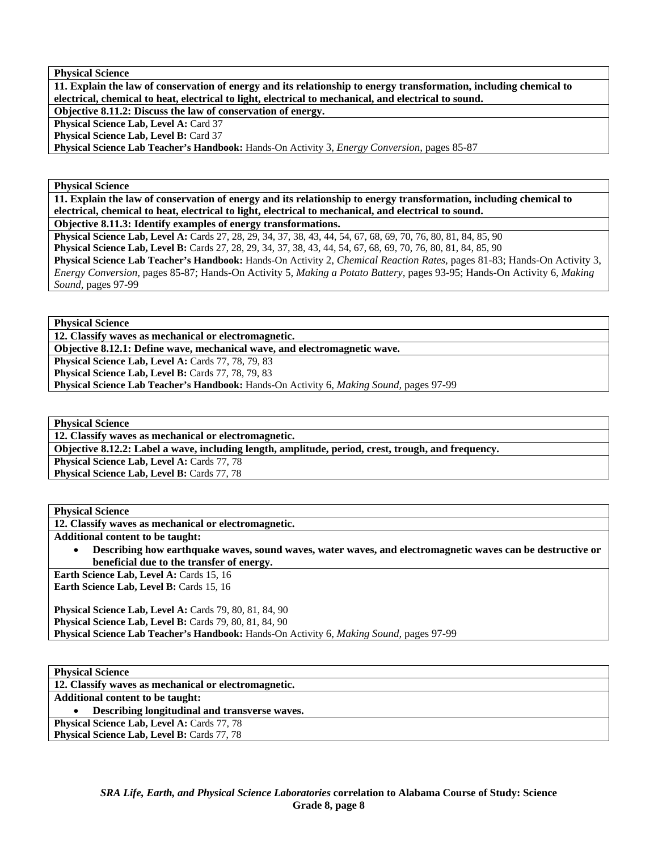**11. Explain the law of conservation of energy and its relationship to energy transformation, including chemical to electrical, chemical to heat, electrical to light, electrical to mechanical, and electrical to sound.** 

**Objective 8.11.2: Discuss the law of conservation of energy.** 

**Physical Science Lab, Level A: Card 37** 

Physical Science Lab, Level B: Card 37

**Physical Science Lab Teacher's Handbook:** Hands-On Activity 3, *Energy Conversion,* pages 85-87

**Physical Science** 

**11. Explain the law of conservation of energy and its relationship to energy transformation, including chemical to electrical, chemical to heat, electrical to light, electrical to mechanical, and electrical to sound.** 

**Objective 8.11.3: Identify examples of energy transformations.** 

**Physical Science Lab, Level A:** Cards 27, 28, 29, 34, 37, 38, 43, 44, 54, 67, 68, 69, 70, 76, 80, 81, 84, 85, 90 **Physical Science Lab, Level B:** Cards 27, 28, 29, 34, 37, 38, 43, 44, 54, 67, 68, 69, 70, 76, 80, 81, 84, 85, 90 **Physical Science Lab Teacher's Handbook:** Hands-On Activity 2, *Chemical Reaction Rates,* pages 81-83; Hands-On Activity 3, *Energy Conversion,* pages 85-87; Hands-On Activity 5, *Making a Potato Battery,* pages 93-95; Hands-On Activity 6, *Making Sound,* pages 97-99

**Physical Science** 

**12. Classify waves as mechanical or electromagnetic.** 

**Objective 8.12.1: Define wave, mechanical wave, and electromagnetic wave.** 

**Physical Science Lab, Level A: Cards 77, 78, 79, 83** 

Physical Science Lab, Level B: Cards 77, 78, 79, 83

**Physical Science Lab Teacher's Handbook:** Hands-On Activity 6, *Making Sound,* pages 97-99

**Physical Science** 

**12. Classify waves as mechanical or electromagnetic.** 

**Objective 8.12.2: Label a wave, including length, amplitude, period, crest, trough, and frequency.** 

Physical Science Lab, Level A: Cards 77, 78 Physical Science Lab, Level B: Cards 77, 78

**Physical Science** 

**12. Classify waves as mechanical or electromagnetic.** 

**Additional content to be taught:** 

• **Describing how earthquake waves, sound waves, water waves, and electromagnetic waves can be destructive or beneficial due to the transfer of energy.** 

**Earth Science Lab, Level A: Cards 15, 16 Earth Science Lab, Level B: Cards 15, 16** 

**Physical Science Lab, Level A: Cards 79, 80, 81, 84, 90 Physical Science Lab, Level B: Cards 79, 80, 81, 84, 90 Physical Science Lab Teacher's Handbook:** Hands-On Activity 6, *Making Sound,* pages 97-99

**Physical Science** 

**12. Classify waves as mechanical or electromagnetic.** 

**Additional content to be taught:** 

• **Describing longitudinal and transverse waves.** 

Physical Science Lab, Level A: Cards 77, 78